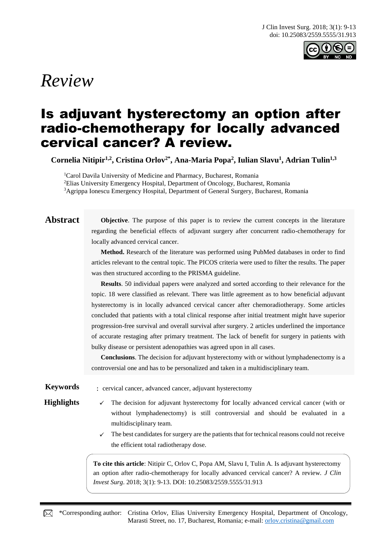

# *Review*

## Is adjuvant hysterectomy an option after radio-chemotherapy for locally advanced cervical cancer? A review.

**Cornelia Nitipir1,2, Cristina Orlov2\* , Ana-Maria Popa<sup>2</sup> , Iulian Slavu<sup>1</sup> , Adrian Tulin1,3**

<sup>1</sup>Carol Davila University of Medicine and Pharmacy, Bucharest, Romania <sup>2</sup>Elias University Emergency Hospital, Department of Oncology, Bucharest, Romania <sup>3</sup>Agrippa Ionescu Emergency Hospital, Department of General Surgery, Bucharest, Romania

**Abstract Objective**. The purpose of this paper is to review the current concepts in the literature regarding the beneficial effects of adjuvant surgery after concurrent radio-chemotherapy for locally advanced cervical cancer.

> **Method.** Research of the literature was performed using PubMed databases in order to find articles relevant to the central topic. The PICOS criteria were used to filter the results. The paper was then structured according to the PRISMA guideline.

> **Results**. 50 individual papers were analyzed and sorted according to their relevance for the topic. 18 were classified as relevant. There was little agreement as to how beneficial adjuvant hysterectomy is in locally advanced cervical cancer after chemoradiotherapy. Some articles concluded that patients with a total clinical response after initial treatment might have superior progression-free survival and overall survival after surgery. 2 articles underlined the importance of accurate restaging after primary treatment. The lack of benefit for surgery in patients with bulky disease or persistent adenopathies was agreed upon in all cases.

> **Conclusions**. The decision for adjuvant hysterectomy with or without lymphadenectomy is a controversial one and has to be personalized and taken in a multidisciplinary team.

- **Keywords** : cervical cancer, advanced cancer, adjuvant hysterectomy
- **Highlights**  $\checkmark$  The decision for adjuvant hysterectomy for locally advanced cervical cancer (with or without lymphadenectomy) is still controversial and should be evaluated in a multidisciplinary team.
	- ✓ The best candidates for surgery are the patients that for technical reasons could not receive the efficient total radiotherapy dose.

**To cite this article**: Nitipir C, Orlov C, Popa AM, Slavu I, Tulin A. Is adjuvant hysterectomy an option after radio-chemotherapy for locally advanced cervical cancer? A review. *J Clin Invest Surg*. 2018; 3(1): 9-13. DOI: 10.25083/2559.5555/31.913

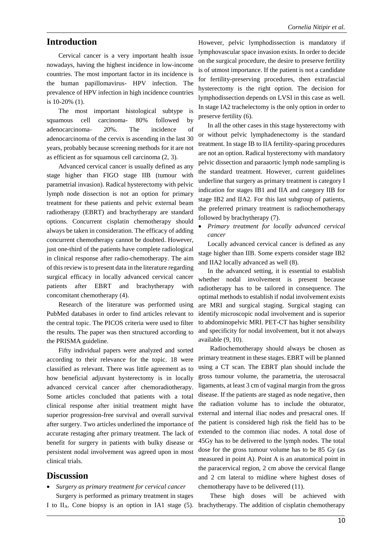#### **Introduction**

Cervical cancer is a very important health issue nowadays, having the highest incidence in low-income countries. The most important factor in its incidence is the human papillomavirus- HPV infection. The prevalence of HPV infection in high incidence countries is 10-20% (1).

The most important histological subtype is squamous cell carcinoma- 80% followed by adenocarcinoma- 20%. The incidence of adenocarcinoma of the cervix is ascending in the last 30 years, probably because screening methods for it are not as efficient as for squamous cell carcinoma (2, 3).

Advanced cervical cancer is usually defined as any stage higher than FIGO stage IIB (tumour with parametrial invasion). Radical hysterectomy with pelvic lymph node dissection is not an option for primary treatment for these patients and pelvic external beam radiotherapy (EBRT) and brachytherapy are standard options. Concurrent cisplatin chemotherapy should always be taken in consideration. The efficacy of adding concurrent chemotherapy cannot be doubted. However, just one-third of the patients have complete radiological in clinical response after radio-chemotherapy. The aim of this review is to present data in the literature regarding surgical efficacy in locally advanced cervical cancer patients after EBRT and brachytherapy with concomitant chemotherapy (4).

Research of the literature was performed using PubMed databases in order to find articles relevant to the central topic. The PICOS criteria were used to filter the results. The paper was then structured according to the PRISMA guideline.

Fifty individual papers were analyzed and sorted according to their relevance for the topic. 18 were classified as relevant. There was little agreement as to how beneficial adjuvant hysterectomy is in locally advanced cervical cancer after chemoradiotherapy. Some articles concluded that patients with a total clinical response after initial treatment might have superior progression-free survival and overall survival after surgery. Two articles underlined the importance of accurate restaging after primary treatment. The lack of benefit for surgery in patients with bulky disease or persistent nodal involvement was agreed upon in most clinical trials.

#### **Discussion**

• *Surgery as primary treatment for cervical cancer* Surgery is performed as primary treatment in stages However, pelvic lymphodissection is mandatory if lymphovascular space invasion exists. In order to decide on the surgical procedure, the desire to preserve fertility is of utmost importance. If the patient is not a candidate for fertility-preserving procedures, then extrafascial hysterectomy is the right option. The decision for lymphodissection depends on LVSI in this case as well. In stage IA2 trachelectomy is the only option in order to preserve fertility (6).

In all the other cases in this stage hysterectomy with or without pelvic lymphadenectomy is the standard treatment. In stage IB to IIA fertility-sparing procedures are not an option. Radical hysterectomy with mandatory pelvic dissection and paraaortic lymph node sampling is the standard treatment. However, current guidelines underline that surgery as primary treatment is category I indication for stages IB1 and IIA and category IIB for stage IB2 and IIA2. For this last subgroup of patients, the preferred primary treatment is radiochemotherapy followed by brachytherapy (7).

• *Primary treatment for locally advanced cervical cancer*

Locally advanced cervical cancer is defined as any stage higher than IIB. Some experts consider stage IB2 and IIA2 locally advanced as well (8).

In the advanced setting, it is essential to establish whether nodal involvement is present because radiotherapy has to be tailored in consequence. The optimal methods to establish if nodal involvement exists are MRI and surgical staging. Surgical staging can identify microscopic nodal involvement and is superior to abdominopelvic MRI. PET-CT has higher sensibility and specificity for nodal involvement, but it not always available (9, 10).

Radiochemotherapy should always be chosen as primary treatment in these stages. EBRT will be planned using a CT scan. The EBRT plan should include the gross tumour volume, the parametria, the uterosacral ligaments, at least 3 cm of vaginal margin from the gross disease. If the patients are staged as node negative, then the radiation volume has to include the obturator, external and internal iliac nodes and presacral ones. If the patient is considered high risk the field has to be extended to the common iliac nodes. A total dose of 45Gy has to be delivered to the lymph nodes. The total dose for the gross tumour volume has to be 85 Gy (as measured in point A). Point A is an anatomical point in the paracervical region, 2 cm above the cervical flange and 2 cm lateral to midline where highest doses of chemotherapy have to be delivered (11).

I to IIA. Cone biopsy is an option in IA1 stage (5). brachytherapy. The addition of cisplatin chemotherapy These high doses will be achieved with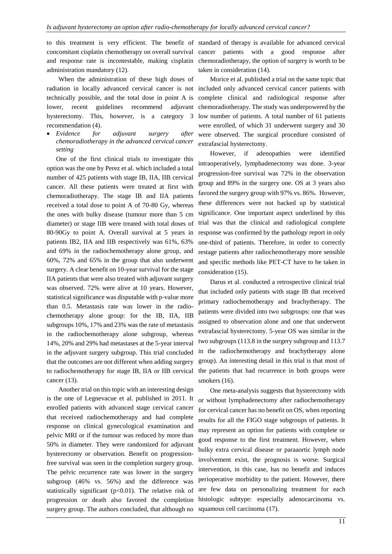administration mandatory (12).

When the administration of these high doses of lower, recent guidelines recommend hysterectomy. This, however, is a category 3 recommendation (4).

• *Evidence for adjuvant surgery after chemoradiotherapy in the advanced cervical cancer setting*

One of the first clinical trials to investigate this option was the one by Perez et al. which included a total number of 425 patients with stage IB, IIA, IIB cervical cancer. All these patients were treated at first with chemoradiotherapy. The stage IB and IIA patients received a total dose to point A of 70-80 Gy, whereas the ones with bulky disease (tumour more than 5 cm diameter) or stage IIB were treated with total doses of 80-90Gy to point A. Overall survival at 5 years in patients IB2, IIA and IIB respectively was 61%, 63% and 69% in the radiochemotherapy alone group, and 60%, 72% and 65% in the group that also underwent surgery. A clear benefit on 10-year survival for the stage IIA patients that were also treated with adjuvant surgery was observed. 72% were alive at 10 years. However, statistical significance was disputable with p-value more than 0.5. Metastasis rate was lower in the radiochemotherapy alone group: for the IB, IIA, IIB subgroups 10%, 17% and 23% was the rate of metastasis in the radiochemotherapy alone subgroup, whereas 14%, 20% and 29% had metastases at the 5-year interval in the adjuvant surgery subgroup. This trial concluded that the outcomes are not different when adding surgery to radiochemotherapy for stage IB, IIA or IIB cervical cancer (13).

Another trial on this topic with an interesting design is the one of Legnevacue et al. published in 2011. It enrolled patients with advanced stage cervical cancer that received radiochemotherapy and had complete response on clinical gynecological examination and pelvic MRI or if the tumour was reduced by more than 50% in diameter. They were randomized for adjuvant hysterectomy or observation. Benefit on progressionfree survival was seen in the completion surgery group. The pelvic recurrence rate was lower in the surgery subgroup (46% vs. 56%) and the difference was statistically significant ( $p<0.01$ ). The relative risk of progression or death also favored the completion surgery group. The authors concluded, that although no

to this treatment is very efficient. The benefit of standard of therapy is available for advanced cervical concomitant cisplatin chemotherapy on overall survival cancer patients with a good response after and response rate is incontestable, making cisplatin chemoradiotherapy, the option of surgery is worth to be taken in consideration (14).

radiation in locally advanced cervical cancer is not included only advanced cervical cancer patients with technically possible, and the total dose in point A is complete clinical and radiological response after Morice et al. published a trial on the same topic that adjuvant chemoradiotherapy. The study was underpowered by the low number of patients. A total number of 61 patients were enrolled, of which 31 underwent surgery and 30 were observed. The surgical procedure consisted of extrafascial hysterectomy.

> However, if adenopathies were identified intraoperatively, lymphadenectomy was done. 3-year progression-free survival was 72% in the observation group and 89% in the surgery one. OS at 3 years also favored the surgery group with 97% vs. 86%. However, these differences were not backed up by statistical significance. One important aspect underlined by this trial was that the clinical and radiological complete response was confirmed by the pathology report in only one-third of patients. Therefore, in order to correctly restage patients after radiochemotherapy more sensible and specific methods like PET-CT have to be taken in consideration (15).

> Darus et al. conducted a retrospective clinical trial that included only patients with stage IB that received primary radiochemotherapy and brachytherapy. The patients were divided into two subgroups: one that was assigned to observation alone and one that underwent extrafascial hysterectomy. 5-year OS was similar in the two subgroups (113.8 in the surgery subgroup and 113.7 in the radiochemotherapy and brachytherapy alone group). An interesting detail in this trial is that most of the patients that had recurrence in both groups were smokers (16).

> One meta-analysis suggests that hysterectomy with or without lymphadenectomy after radiochemotherapy for cervical cancer has no benefit on OS, when reporting results for all the FIGO stage subgroups of patients. It may represent an option for patients with complete or good response to the first treatment. However, when bulky extra cervical disease or paraaortic lymph node involvement exist, the prognosis is worse. Surgical intervention, in this case, has no benefit and induces perioperative morbidity to the patient. However, there are few data on personalizing treatment for each histologic subtype: especially adenocarcinoma vs. squamous cell carcinoma (17).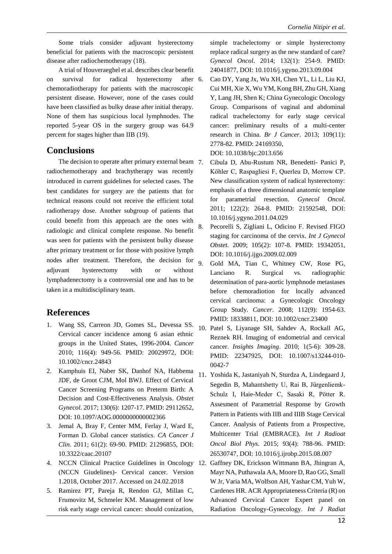Some trials consider adjuvant hysterectomy beneficial for patients with the macroscopic persistent disease after radiochemotherapy (18).

A trial of Houveraeghel et al. describes clear benefit on survival for radical hysterectomy after 6. chemoradiotherapy for patients with the macroscopic persistent disease. However, none of the cases could have been classified as bulky dease after initial therapy. None of them has suspicious local lymphnodes. The reported 5-year OS in the surgery group was 64.9 percent for stages higher than IIB (19).

#### **Conclusions**

The decision to operate after primary external beam 7. radiochemotherapy and brachytherapy was recently introduced in current guidelines for selected cases. The best candidates for surgery are the patients that for technical reasons could not receive the efficient total radiotherapy dose. Another subgroup of patients that could benefit from this approach are the ones with radiologic and clinical complete response. No benefit was seen for patients with the persistent bulky disease after primary treatment or for those with positive lymph nodes after treatment. Therefore, the decision for  $\theta$ . adjuvant hysterectomy with or without lymphadenectomy is a controversial one and has to be taken in a multidisciplinary team.

### **References**

- 1. Wang SS, Carreon JD, Gomes SL, Devessa SS. Cervical cancer incidence among 6 asian ethnic groups in the United States, 1996-2004. *Cancer* 2010; 116(4): 949-56. PMID: 20029972, DOI: 10.1002/cncr.24843
- 2. Kamphuis EI, Naber SK, Danhof NA, Habbema JDF, de Groot CJM, Mol BWJ. Effect of Cervical Cancer Screening Programs on Preterm Birth: A Decision and Cost-Effectiveness Analysis. *Obstet Gynecol*. 2017; 130(6): 1207-17. PMID: 29112652, DOI: 10.1097/AOG.0000000000002366
- 3. Jemal A, Bray F, Center MM, Ferlay J, Ward E, Forman D. Global cancer statistics. *CA Cancer J Clin*. 2011; 61(2): 69-90. PMID: 21296855, DOI: 10.3322/caac.20107
- (NCCN Giudelines)- Cervical cancer. Version 1.2018, October 2017. Accessed on 24.02.2018
- 5. Ramirez PT, Pareja R, Rendon GJ, Millan C, Frumovitz M, Schmeler KM. Management of low risk early stage cervical cancer: should conization,

simple trachelectomy or simple hysterectomy replace radical surgery as the new standard of care? *Gynecol Oncol*. 2014; 132(1): 254-9. PMID: 24041877, DOI: 10.1016/j.ygyno.2013.09.004

6. Cao DY, Yang Jx, Wu XH, Chen YL, Li L, Liu KJ, Cui MH, Xie X, Wu YM, Kong BH, Zhu GH, Xiang Y, Lang JH, Shen K; China Gynecologic Oncology Group. Comparisons of vaginal and abdominal radical trachelectomy for early stage cervical cancer: preliminary results of a multi-center research in China. *Br J Cancer*. 2013; 109(11): 2778-82. PMID: 24169350, DOI: 10.1038/bjc.2013.656

7. Cibula D, Abu-Rustum NR, Benedetti- Panici P, Köhler C, Raspagliesi F, Querleu D, Morrow CP. New classification system of radical hysterectomy: emphasis of a three dimensional anatomic template for parametrial resection. *Gynecol Oncol*. 2011; 122(2): 264-8. PMID: 21592548, DOI: 10.1016/j.ygyno.2011.04.029

8. Pecorelli S, Zigliani L, Odicino F. Revised FIGO staging for carcinoma of the cervix. *Int J Gynecol Obstet*. 2009; 105(2): 107-8. PMID: 19342051, DOI: 10.1016/j.ijgo.2009.02.009

- 9. Gold MA, Tian C, Whitney CW, Rose PG, Lanciano R. Surgical vs. radiographic determination of para-aortic lymphnode metastases before chemoradiotion for locally advanced cervical carcinoma: a Gynecologic Oncology Group Study. *Cancer*. 2008; 112(9): 1954-63. PMID: 18338811, DOI: 10.1002/cncr.23400
- 10. Patel S, Liyanage SH, Sahdev A, Rockall AG, Reznek RH. Imaging of endometrial and cervical cancer. *Insights Imaging*. 2010; 1(5-6): 309-28. PMID: 22347925, DOI: 10.1007/s13244-010- 0042-7
- 11. Yoshida K, Jastaniyah N, Sturdza A, Lindegaard J, Segedin B, Mahantshetty U, Rai B, Jürgenliemk-Schulz I, Haie-Meder C, Sasaki R, Pötter R. Assesment of Parametrial Response by Growth Pattern in Patients with IIB and IIIB Stage Cervical Cancer. Analysis of Patients from a Prospective, Multicenter Trial (EMBRACE). *Int J Radioat Oncol Biol Phys*. 2015; 93(4): 788-96. PMID: 26530747, DOI: 10.1016/j.ijrobp.2015.08.007
- 4. NCCN Clinical Practice Guidelines in Oncology 12. Gaffney DK, Erickson Wittmann BA, Jhingran A, Mayr NA, Puthawala AA, Moore D, Rao GG, Small W Jr, Varia MA, Wolfson AH, Yashar CM, Yuh W, Cardenes HR. ACR Appropriateness Criteria (R) on Advanced Cervical Cancer Expert panel on Radiation Oncology-Gynecology. *Int J Radiat*